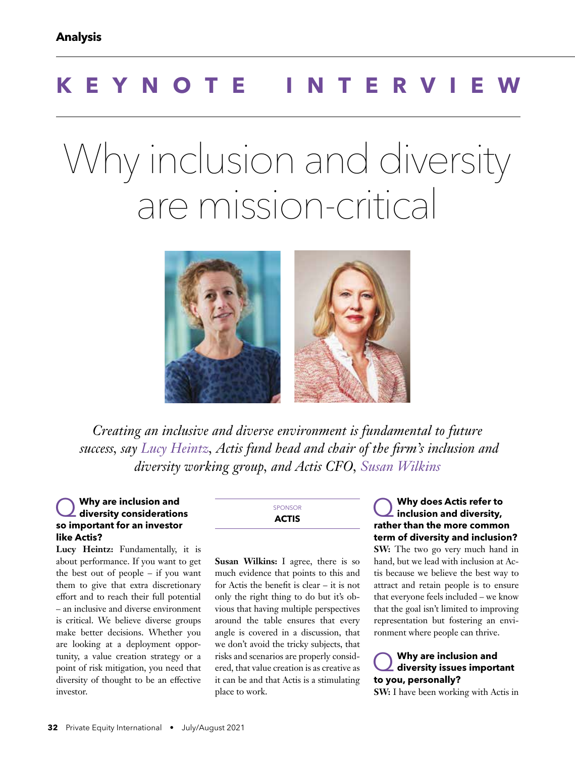# **KEYNOTE INTERVIEW**

# Why inclusion and diversity are mission-critical



*Creating an inclusive and diverse environment is fundamental to future success, say Lucy Heintz, Actis fund head and chair of the firm's inclusion and diversity working group, and Actis CFO, Susan Wilkins*

# Q **Why are inclusion and diversity considerations so important for an investor like Actis?**

**Lucy Heintz:** Fundamentally, it is about performance. If you want to get the best out of people – if you want them to give that extra discretionary effort and to reach their full potential – an inclusive and diverse environment is critical. We believe diverse groups make better decisions. Whether you are looking at a deployment opportunity, a value creation strategy or a point of risk mitigation, you need that diversity of thought to be an effective investor.

SPONSOR **ACTIS**

**Susan Wilkins:** I agree, there is so much evidence that points to this and for Actis the benefit is clear – it is not only the right thing to do but it's obvious that having multiple perspectives around the table ensures that every angle is covered in a discussion, that we don't avoid the tricky subjects, that risks and scenarios are properly considered, that value creation is as creative as it can be and that Actis is a stimulating place to work.

Q **Why does Actis refer to inclusion and diversity, rather than the more common term of diversity and inclusion? SW:** The two go very much hand in hand, but we lead with inclusion at Actis because we believe the best way to attract and retain people is to ensure that everyone feels included – we know that the goal isn't limited to improving representation but fostering an environment where people can thrive.

Q **Why are inclusion and diversity issues important to you, personally?**

**SW:** I have been working with Actis in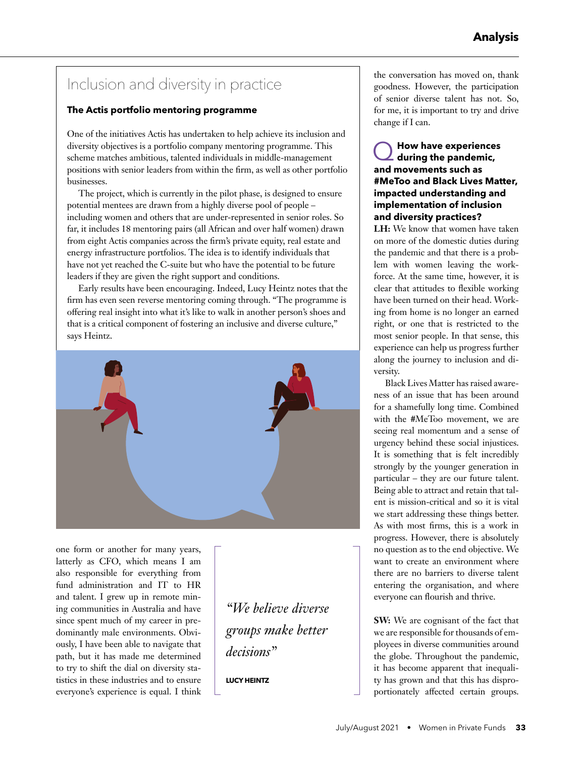# Inclusion and diversity in practice

#### **The Actis portfolio mentoring programme**

One of the initiatives Actis has undertaken to help achieve its inclusion and diversity objectives is a portfolio company mentoring programme. This scheme matches ambitious, talented individuals in middle-management positions with senior leaders from within the firm, as well as other portfolio businesses.

The project, which is currently in the pilot phase, is designed to ensure potential mentees are drawn from a highly diverse pool of people – including women and others that are under-represented in senior roles. So far, it includes 18 mentoring pairs (all African and over half women) drawn from eight Actis companies across the firm's private equity, real estate and energy infrastructure portfolios. The idea is to identify individuals that have not yet reached the C-suite but who have the potential to be future leaders if they are given the right support and conditions.

Early results have been encouraging. Indeed, Lucy Heintz notes that the firm has even seen reverse mentoring coming through. "The programme is offering real insight into what it's like to walk in another person's shoes and that is a critical component of fostering an inclusive and diverse culture," says Heintz.



one form or another for many years, latterly as CFO, which means I am also responsible for everything from fund administration and IT to HR and talent. I grew up in remote mining communities in Australia and have since spent much of my career in predominantly male environments. Obviously, I have been able to navigate that path, but it has made me determined to try to shift the dial on diversity statistics in these industries and to ensure everyone's experience is equal. I think

*"We believe diverse groups make better decisions"*

**LUCY HEINTZ**

the conversation has moved on, thank goodness. However, the participation of senior diverse talent has not. So, for me, it is important to try and drive change if I can.

## Q**How have experiences during the pandemic, and movements such as #MeToo and Black Lives Matter, impacted understanding and implementation of inclusion and diversity practices?**

**LH:** We know that women have taken on more of the domestic duties during the pandemic and that there is a problem with women leaving the workforce. At the same time, however, it is clear that attitudes to flexible working have been turned on their head. Working from home is no longer an earned right, or one that is restricted to the most senior people. In that sense, this experience can help us progress further along the journey to inclusion and diversity.

Black Lives Matter has raised awareness of an issue that has been around for a shamefully long time. Combined with the #MeToo movement, we are seeing real momentum and a sense of urgency behind these social injustices. It is something that is felt incredibly strongly by the younger generation in particular – they are our future talent. Being able to attract and retain that talent is mission-critical and so it is vital we start addressing these things better. As with most firms, this is a work in progress. However, there is absolutely no question as to the end objective. We want to create an environment where there are no barriers to diverse talent entering the organisation, and where everyone can flourish and thrive.

**SW:** We are cognisant of the fact that we are responsible for thousands of employees in diverse communities around the globe. Throughout the pandemic, it has become apparent that inequality has grown and that this has disproportionately affected certain groups.